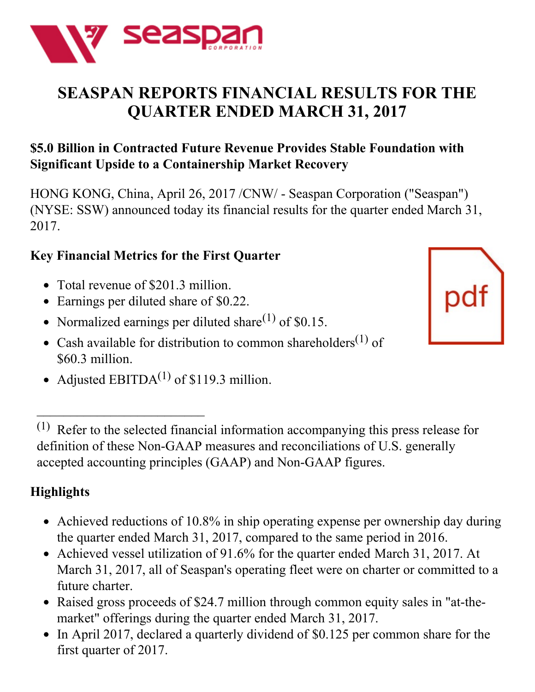

# **SEASPAN REPORTS FINANCIAL RESULTS FOR THE QUARTER ENDED MARCH 31, 2017**

## **\$5.0 Billion in Contracted Future Revenue Provides Stable Foundation with Significant Upside to a Containership Market Recovery**

HONG KONG, China, April 26, 2017 /CNW/ - Seaspan Corporation ("Seaspan") (NYSE: SSW) announced today its financial results for the quarter ended March 31, 2017.

## **Key Financial Metrics for the First Quarter**

Total revenue of \$201.3 million.

 $\overline{\phantom{a}}$  , where  $\overline{\phantom{a}}$ 

- Earnings per diluted share of \$0.22.
- Normalized earnings per diluted share<sup>(1)</sup> of \$0.15.
- Cash available for distribution to common shareholders<sup>(1)</sup> of \$60.3 million.
- Adjusted EBITDA $^{(1)}$  of \$119.3 million.

(1) Refer to the selected financial information accompanying this press release for definition of these Non-GAAP measures and reconciliations of U.S. generally accepted accounting principles (GAAP) and Non-GAAP figures.

## **Highlights**

- Achieved reductions of 10.8% in ship operating expense per ownership day during the quarter ended March 31, 2017, compared to the same period in 2016.
- Achieved vessel utilization of 91.6% for the quarter ended March 31, 2017. At March 31, 2017, all of Seaspan's operating fleet were on charter or committed to a future charter.
- Raised gross proceeds of \$24.7 million through common equity sales in "at-themarket" offerings during the quarter ended March 31, 2017.
- In April 2017, declared a quarterly dividend of \$0.125 per common share for the first quarter of 2017.

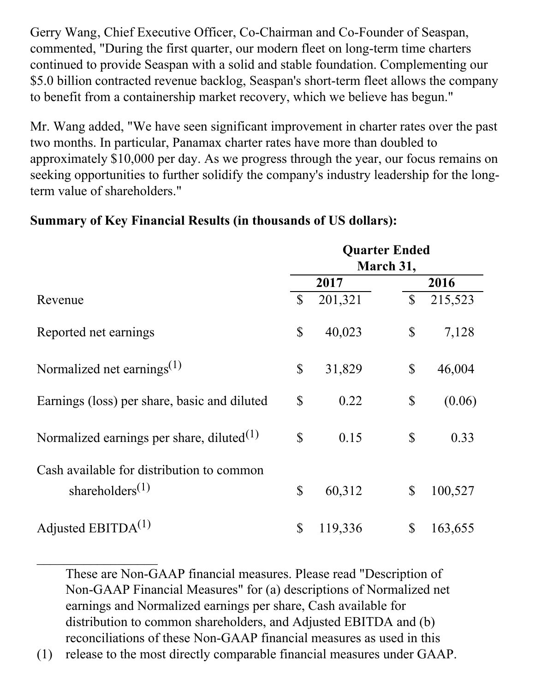Gerry Wang, Chief Executive Officer, Co-Chairman and Co-Founder of Seaspan, commented, "During the first quarter, our modern fleet on long-term time charters continued to provide Seaspan with a solid and stable foundation. Complementing our \$5.0 billion contracted revenue backlog, Seaspan's short-term fleet allows the company to benefit from a containership market recovery, which we believe has begun."

Mr. Wang added, "We have seen significant improvement in charter rates over the past two months. In particular, Panamax charter rates have more than doubled to approximately \$10,000 per day. As we progress through the year, our focus remains on seeking opportunities to further solidify the company's industry leadership for the longterm value of shareholders."

|                                                                                       | <b>Quarter Ended</b><br>March 31, |         |              |         |  |
|---------------------------------------------------------------------------------------|-----------------------------------|---------|--------------|---------|--|
|                                                                                       |                                   | 2017    |              | 2016    |  |
| Revenue                                                                               | $\mathbb{S}$                      | 201,321 | $\mathbb{S}$ | 215,523 |  |
| Reported net earnings                                                                 | $\mathbb{S}$                      | 40,023  | \$           | 7,128   |  |
| Normalized net earnings <sup>(1)</sup>                                                | \$                                | 31,829  | \$           | 46,004  |  |
| Earnings (loss) per share, basic and diluted                                          | $\mathbb{S}$                      | 0.22    | \$           | (0.06)  |  |
| Normalized earnings per share, diluted $(1)$                                          | $\mathbb{S}$                      | 0.15    | $\mathbb{S}$ | 0.33    |  |
| Cash available for distribution to common<br>shareholders <sup><math>(1)</math></sup> | \$                                | 60,312  | $\mathbb{S}$ | 100,527 |  |
| Adjusted EBITD $A^{(1)}$                                                              | $\mathbb{S}$                      | 119,336 | $\mathbb{S}$ | 163,655 |  |

#### **Summary of Key Financial Results (in thousands of US dollars):**

These are Non-GAAP financial measures. Please read "Description of Non-GAAP Financial Measures" for (a) descriptions of Normalized net earnings and Normalized earnings per share, Cash available for distribution to common shareholders, and Adjusted EBITDA and (b) reconciliations of these Non-GAAP financial measures as used in this

(1) release to the most directly comparable financial measures under GAAP.

 $\frac{1}{2}$  ,  $\frac{1}{2}$  ,  $\frac{1}{2}$  ,  $\frac{1}{2}$  ,  $\frac{1}{2}$  ,  $\frac{1}{2}$  ,  $\frac{1}{2}$  ,  $\frac{1}{2}$  ,  $\frac{1}{2}$  ,  $\frac{1}{2}$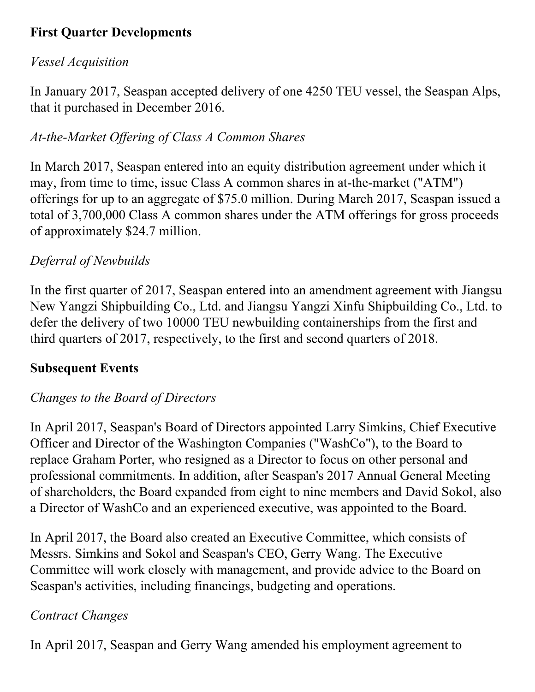## **First Quarter Developments**

#### *Vessel Acquisition*

In January 2017, Seaspan accepted delivery of one 4250 TEU vessel, the Seaspan Alps, that it purchased in December 2016.

## *At-the-Market Of ering of Class A Common Shares*

In March 2017, Seaspan entered into an equity distribution agreement under which it may, from time to time, issue Class A common shares in at-the-market ("ATM") offerings for up to an aggregate of \$75.0 million. During March 2017, Seaspan issued a total of 3,700,000 Class A common shares under the ATM offerings for gross proceeds of approximately \$24.7 million.

## *Deferral of Newbuilds*

In the first quarter of 2017, Seaspan entered into an amendment agreement with Jiangsu New Yangzi Shipbuilding Co., Ltd. and Jiangsu Yangzi Xinfu Shipbuilding Co., Ltd. to defer the delivery of two 10000 TEU newbuilding containerships from the first and third quarters of 2017, respectively, to the first and second quarters of 2018.

## **Subsequent Events**

## *Changes to the Board of Directors*

In April 2017, Seaspan's Board of Directors appointed Larry Simkins, Chief Executive Officer and Director of the Washington Companies ("WashCo"), to the Board to replace Graham Porter, who resigned as a Director to focus on other personal and professional commitments. In addition, after Seaspan's 2017 Annual General Meeting of shareholders, the Board expanded from eight to nine members and David Sokol, also a Director of WashCo and an experienced executive, was appointed to the Board.

In April 2017, the Board also created an Executive Committee, which consists of Messrs. Simkins and Sokol and Seaspan's CEO, Gerry Wang. The Executive Committee will work closely with management, and provide advice to the Board on Seaspan's activities, including financings, budgeting and operations.

## *Contract Changes*

In April 2017, Seaspan and Gerry Wang amended his employment agreement to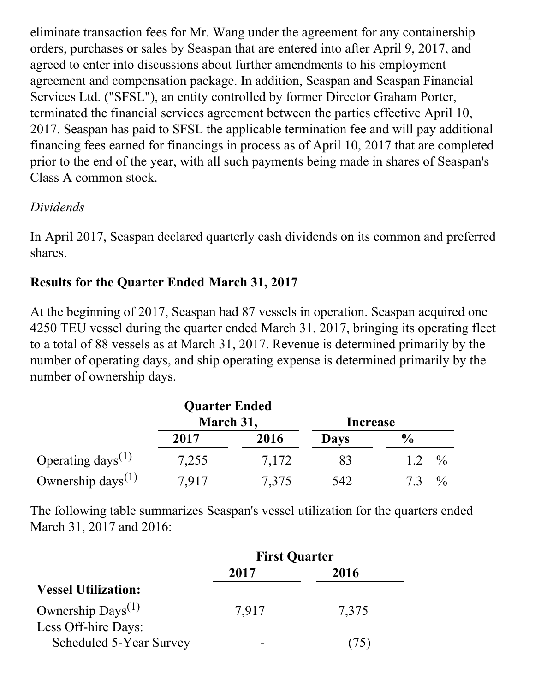eliminate transaction fees for Mr. Wang under the agreement for any containership orders, purchases or sales by Seaspan that are entered into after April 9, 2017, and agreed to enter into discussions about further amendments to his employment agreement and compensation package. In addition, Seaspan and Seaspan Financial Services Ltd. ("SFSL"), an entity controlled by former Director Graham Porter, terminated the financial services agreement between the parties effective April 10, 2017. Seaspan has paid to SFSL the applicable termination fee and will pay additional financing fees earned for financings in process as of April 10, 2017 that are completed prior to the end of the year, with all such payments being made in shares of Seaspan's Class A common stock.

#### *Dividends*

In April 2017, Seaspan declared quarterly cash dividends on its common and preferred shares.

#### **Results for the Quarter Ended March 31, 2017**

At the beginning of 2017, Seaspan had 87 vessels in operation. Seaspan acquired one 4250 TEU vessel during the quarter ended March 31, 2017, bringing its operating fleet to a total of 88 vessels as at March 31, 2017. Revenue is determined primarily by the number of operating days, and ship operating expense is determined primarily by the number of ownership days.

|                                            | <b>Quarter Ended</b> |       |             |                     |
|--------------------------------------------|----------------------|-------|-------------|---------------------|
|                                            | March 31,            |       | Increase    |                     |
|                                            | 2017                 | 2016  | <b>Days</b> | $\frac{6}{9}$       |
| Operating days <sup>(1)</sup>              | 7,255                | 7,172 | 83          | $^{0}/_{0}$<br>1.2  |
| Ownership days <sup><math>(1)</math></sup> | 7.917                | 7,375 | 542         | $\frac{0}{0}$<br>73 |

The following table summarizes Seaspan's vessel utilization for the quarters ended March 31, 2017 and 2016:

|                            | <b>First Quarter</b> |       |  |
|----------------------------|----------------------|-------|--|
|                            | 2017                 | 2016  |  |
| <b>Vessel Utilization:</b> |                      |       |  |
| Ownership $Days^{(1)}$     | 7,917                | 7,375 |  |
| Less Off-hire Days:        |                      |       |  |
| Scheduled 5-Year Survey    |                      |       |  |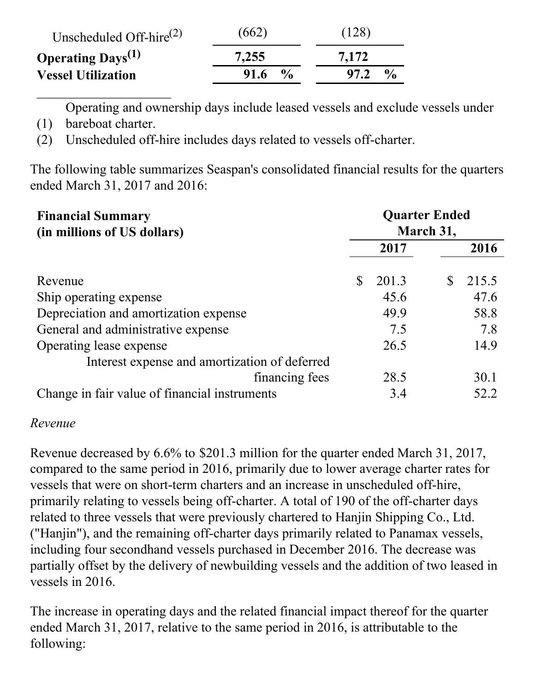| Unscheduled Off-hire $^{(2)}$        | (662)                 | (128)                      |
|--------------------------------------|-----------------------|----------------------------|
| <b>Operating Days</b> <sup>(1)</sup> | 7,255                 | 7.172                      |
| <b>Vessel Utilization</b>            | $\frac{6}{6}$<br>91.6 | $\frac{0}{\alpha}$<br>97.2 |

Operating and ownership days include leased vessels and exclude vessels under

(1) bareboat charter.

 $\mathcal{L}_\text{max}$ 

(2) Unscheduled off-hire includes days related to vessels off-charter.

The following table summarizes Seaspan's consolidated financial results for the quarters ended March 31, 2017 and 2016:

| <b>Financial Summary</b><br>(in millions of US dollars) |   | <b>Quarter Ended</b><br>March 31, |   |       |  |
|---------------------------------------------------------|---|-----------------------------------|---|-------|--|
|                                                         |   | 2017                              |   | 2016  |  |
| Revenue                                                 | S | 201.3                             | S | 215.5 |  |
| Ship operating expense                                  |   | 45.6                              |   | 47.6  |  |
| Depreciation and amortization expense                   |   | 49.9                              |   | 58.8  |  |
| General and administrative expense                      |   | 7.5                               |   | 7.8   |  |
| Operating lease expense                                 |   | 26.5                              |   | 14.9  |  |
| Interest expense and amortization of deferred           |   |                                   |   |       |  |
| financing fees                                          |   | 28.5                              |   | 30.1  |  |
| Change in fair value of financial instruments           |   | 3.4                               |   | 52.2  |  |

#### *Revenue*

Revenue decreased by 6.6% to \$201.3 million for the quarter ended March 31, 2017, compared to the same period in 2016, primarily due to lower average charter rates for vessels that were on short-term charters and an increase in unscheduled off-hire, primarily relating to vessels being off-charter. A total of 190 of the off-charter days related to three vessels that were previously chartered to Hanjin Shipping Co., Ltd. ("Hanjin"), and the remaining off-charter days primarily related to Panamax vessels, including four secondhand vessels purchased in December 2016. The decrease was partially offset by the delivery of newbuilding vessels and the addition of two leased in vessels in 2016.

The increase in operating days and the related financial impact thereof for the quarter ended March 31, 2017, relative to the same period in 2016, is attributable to the following: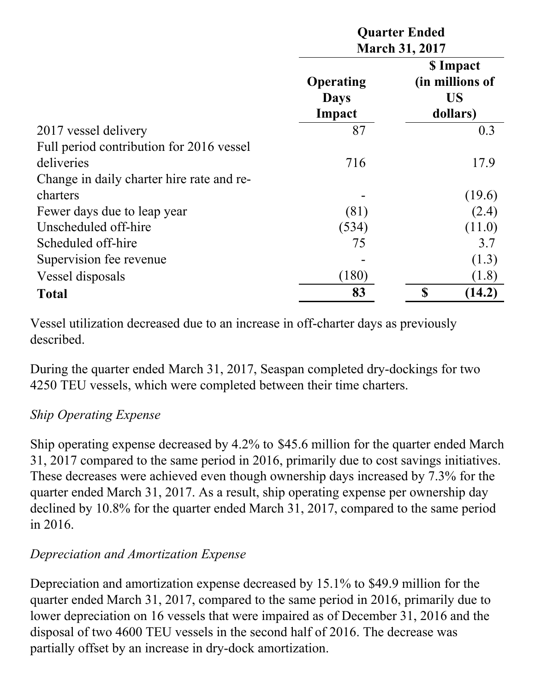|                                           |                                           | <b>Quarter Ended</b><br><b>March 31, 2017</b>         |        |  |  |  |
|-------------------------------------------|-------------------------------------------|-------------------------------------------------------|--------|--|--|--|
|                                           | <b>Operating</b><br><b>Days</b><br>Impact | \$ Impact<br>(in millions of<br><b>US</b><br>dollars) |        |  |  |  |
| 2017 vessel delivery                      | 87                                        |                                                       | 0.3    |  |  |  |
| Full period contribution for 2016 vessel  |                                           |                                                       |        |  |  |  |
| deliveries                                | 716                                       |                                                       | 17.9   |  |  |  |
| Change in daily charter hire rate and re- |                                           |                                                       |        |  |  |  |
| charters                                  |                                           |                                                       | (19.6) |  |  |  |
| Fewer days due to leap year               | (81)                                      |                                                       | (2.4)  |  |  |  |
| Unscheduled off-hire                      | (534)                                     |                                                       | (11.0) |  |  |  |
| Scheduled off-hire                        | 75                                        |                                                       | 3.7    |  |  |  |
| Supervision fee revenue                   |                                           |                                                       | (1.3)  |  |  |  |
| Vessel disposals                          | (180)                                     |                                                       | (1.8)  |  |  |  |
| <b>Total</b>                              | \$<br>83<br>(14.2)                        |                                                       |        |  |  |  |

Vessel utilization decreased due to an increase in off-charter days as previously described.

During the quarter ended March 31, 2017, Seaspan completed dry-dockings for two 4250 TEU vessels, which were completed between their time charters.

## *Ship Operating Expense*

Ship operating expense decreased by 4.2% to \$45.6 million for the quarter ended March 31, 2017 compared to the same period in 2016, primarily due to cost savings initiatives. These decreases were achieved even though ownership days increased by 7.3% for the quarter ended March 31, 2017. As a result, ship operating expense per ownership day declined by 10.8% for the quarter ended March 31, 2017, compared to the same period in 2016.

#### *Depreciation and Amortization Expense*

Depreciation and amortization expense decreased by 15.1% to \$49.9 million for the quarter ended March 31, 2017, compared to the same period in 2016, primarily due to lower depreciation on 16 vessels that were impaired as of December 31, 2016 and the disposal of two 4600 TEU vessels in the second half of 2016. The decrease was partially offset by an increase in dry-dock amortization.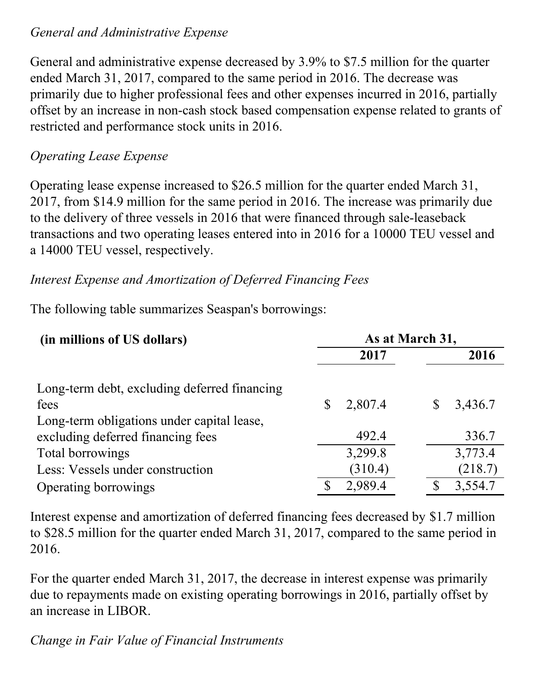#### *General and Administrative Expense*

General and administrative expense decreased by 3.9% to \$7.5 million for the quarter ended March 31, 2017, compared to the same period in 2016. The decrease was primarily due to higher professional fees and other expenses incurred in 2016, partially offset by an increase in non-cash stock based compensation expense related to grants of restricted and performance stock units in 2016.

## *Operating Lease Expense*

Operating lease expense increased to \$26.5 million for the quarter ended March 31, 2017, from \$14.9 million for the same period in 2016. The increase was primarily due to the delivery of three vessels in 2016 that were financed through sale-leaseback transactions and two operating leases entered into in 2016 for a 10000 TEU vessel and a 14000 TEU vessel, respectively.

## *Interest Expense and Amortization of Deferred Financing Fees*

The following table summarizes Seaspan's borrowings:

| (in millions of US dollars)                  |   | As at March 31, |   |         |  |  |
|----------------------------------------------|---|-----------------|---|---------|--|--|
|                                              |   | 2017            |   | 2016    |  |  |
| Long-term debt, excluding deferred financing |   |                 |   |         |  |  |
| fees                                         | S | 2,807.4         | S | 3,436.7 |  |  |
| Long-term obligations under capital lease,   |   |                 |   |         |  |  |
| excluding deferred financing fees            |   | 492.4           |   | 336.7   |  |  |
| Total borrowings                             |   | 3,299.8         |   | 3,773.4 |  |  |
| Less: Vessels under construction             |   | (310.4)         |   | (218.7) |  |  |
| Operating borrowings                         | S | 2,989.4         |   | 3,554.7 |  |  |

Interest expense and amortization of deferred financing fees decreased by \$1.7 million to \$28.5 million for the quarter ended March 31, 2017, compared to the same period in 2016.

For the quarter ended March 31, 2017, the decrease in interest expense was primarily due to repayments made on existing operating borrowings in 2016, partially offset by an increase in LIBOR.

## *Change in Fair Value of Financial Instruments*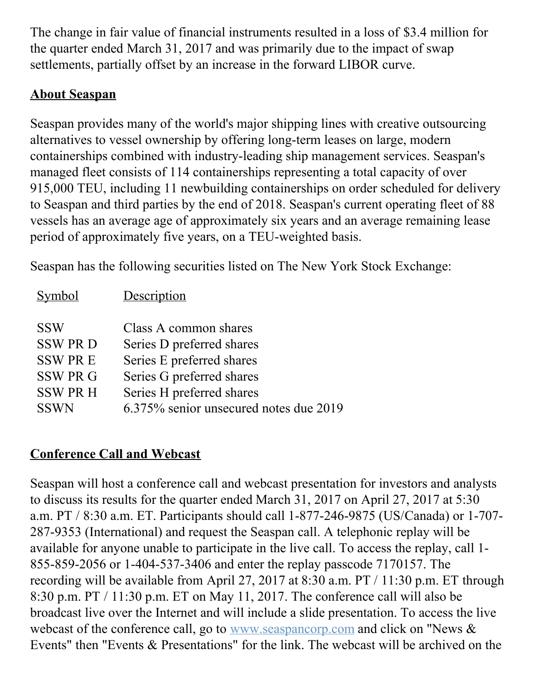The change in fair value of financial instruments resulted in a loss of \$3.4 million for the quarter ended March 31, 2017 and was primarily due to the impact of swap settlements, partially offset by an increase in the forward LIBOR curve.

## **About Seaspan**

Seaspan provides many of the world's major shipping lines with creative outsourcing alternatives to vessel ownership by offering long-term leases on large, modern containerships combined with industry-leading ship management services. Seaspan's managed fleet consists of 114 containerships representing a total capacity of over 915,000 TEU, including 11 newbuilding containerships on order scheduled for delivery to Seaspan and third parties by the end of 2018. Seaspan's current operating fleet of 88 vessels has an average age of approximately six years and an average remaining lease period of approximately five years, on a TEU-weighted basis.

Seaspan has the following securities listed on The New York Stock Exchange:

| <b>Symbol</b>   | Description                            |
|-----------------|----------------------------------------|
| <b>SSW</b>      | Class A common shares                  |
| <b>SSW PRD</b>  | Series D preferred shares              |
| <b>SSW PRE</b>  | Series E preferred shares              |
| <b>SSW PR G</b> | Series G preferred shares              |
| <b>SSW PR H</b> | Series H preferred shares              |
| <b>SSWN</b>     | 6.375% senior unsecured notes due 2019 |

## **Conference Call and Webcast**

Seaspan will host a conference call and webcast presentation for investors and analysts to discuss its results for the quarter ended March 31, 2017 on April 27, 2017 at 5:30 a.m. PT / 8:30 a.m. ET. Participants should call 1-877-246-9875 (US/Canada) or 1-707- 287-9353 (International) and request the Seaspan call. A telephonic replay will be available for anyone unable to participate in the live call. To access the replay, call 1- 855-859-2056 or 1-404-537-3406 and enter the replay passcode 7170157. The recording will be available from April 27, 2017 at 8:30 a.m. PT / 11:30 p.m. ET through 8:30 p.m. PT / 11:30 p.m. ET on May 11, 2017. The conference call will also be broadcast live over the Internet and will include a slide presentation. To access the live webcast of the conference call, go to [www.seaspancorp.com](http://www.seaspancorp.com) and click on "News & Events" then "Events & Presentations" for the link. The webcast will be archived on the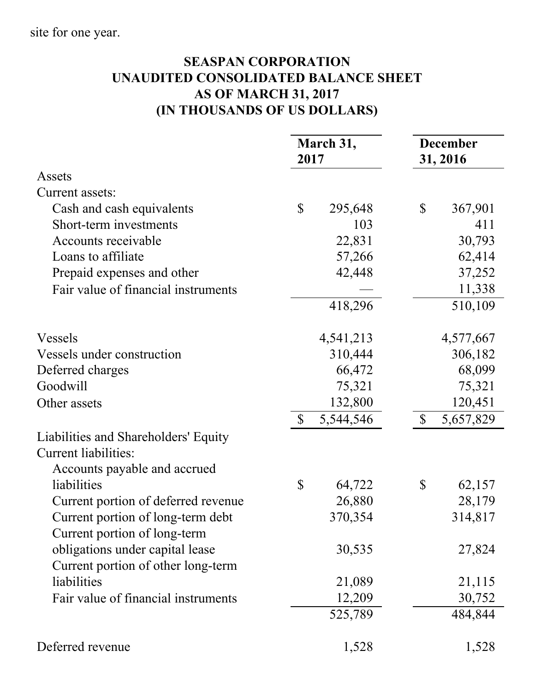## **SEASPAN CORPORATION UNAUDITED CONSOLIDATED BALANCE SHEET AS OF MARCH 31, 2017 (IN THOUSANDS OF US DOLLARS)**

|                                                                                                     | March 31,<br>2017         | <b>December</b><br>31, 2016 |
|-----------------------------------------------------------------------------------------------------|---------------------------|-----------------------------|
| Assets                                                                                              |                           |                             |
| Current assets:                                                                                     |                           |                             |
| Cash and cash equivalents                                                                           | $\mathbb{S}$<br>295,648   | \$<br>367,901               |
| Short-term investments                                                                              | 103                       | 411                         |
| Accounts receivable                                                                                 | 22,831                    | 30,793                      |
| Loans to affiliate                                                                                  | 57,266                    | 62,414                      |
| Prepaid expenses and other                                                                          | 42,448                    | 37,252                      |
| Fair value of financial instruments                                                                 |                           | 11,338                      |
|                                                                                                     | 418,296                   | 510,109                     |
| Vessels                                                                                             | 4,541,213                 | 4,577,667                   |
| Vessels under construction                                                                          | 310,444                   | 306,182                     |
| Deferred charges                                                                                    | 66,472                    | 68,099                      |
| Goodwill                                                                                            | 75,321                    | 75,321                      |
| Other assets                                                                                        | 132,800                   | 120,451                     |
|                                                                                                     | $\mathbb{S}$<br>5,544,546 | $\mathcal{S}$<br>5,657,829  |
| Liabilities and Shareholders' Equity<br><b>Current liabilities:</b><br>Accounts payable and accrued |                           |                             |
| liabilities                                                                                         | \$<br>64,722              | \$<br>62,157                |
| Current portion of deferred revenue                                                                 | 26,880                    | 28,179                      |
| Current portion of long-term debt<br>Current portion of long-term                                   | 370,354                   | 314,817                     |
| obligations under capital lease<br>Current portion of other long-term                               | 30,535                    | 27,824                      |
| liabilities                                                                                         | 21,089                    | 21,115                      |
| Fair value of financial instruments                                                                 | 12,209                    | 30,752                      |
|                                                                                                     | 525,789                   | 484,844                     |
| Deferred revenue                                                                                    | 1,528                     | 1,528                       |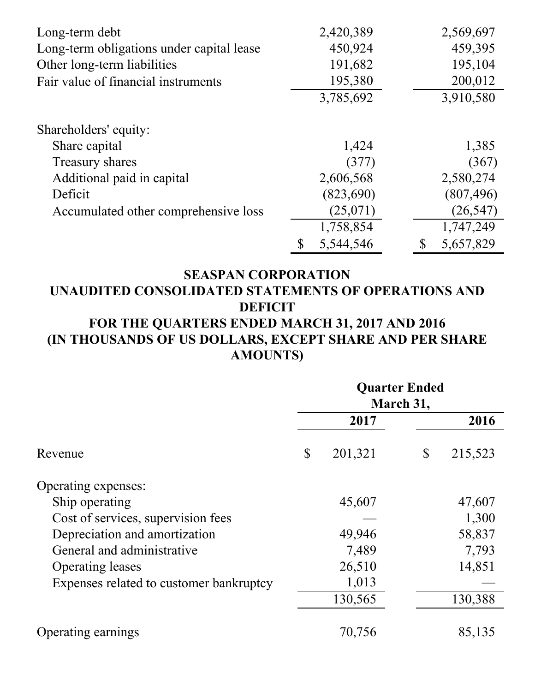| Long-term debt                            | 2,420,389       | 2,569,697                 |
|-------------------------------------------|-----------------|---------------------------|
| Long-term obligations under capital lease | 450,924         | 459,395                   |
| Other long-term liabilities               | 191,682         | 195,104                   |
| Fair value of financial instruments       | 195,380         | 200,012                   |
|                                           | 3,785,692       | 3,910,580                 |
| Shareholders' equity:                     |                 |                           |
| Share capital                             | 1,424           | 1,385                     |
| Treasury shares                           | (377)           | (367)                     |
| Additional paid in capital                | 2,606,568       | 2,580,274                 |
| Deficit                                   | (823,690)       | (807, 496)                |
| Accumulated other comprehensive loss      | (25,071)        | (26, 547)                 |
|                                           | 1,758,854       | 1,747,249                 |
|                                           | 5,544,546<br>\$ | 5,657,829<br>$\mathbb{S}$ |

#### **SEASPAN CORPORATION UNAUDITED CONSOLIDATED STATEMENTS OF OPERATIONS AND DEFICIT FOR THE QUARTERS ENDED MARCH 31, 2017 AND 2016 (IN THOUSANDS OF US DOLLARS, EXCEPT SHARE AND PER SHARE**

**AMOUNTS)**

|                                         | <b>Quarter Ended</b><br>March 31, |         |              |         |
|-----------------------------------------|-----------------------------------|---------|--------------|---------|
|                                         |                                   | 2017    |              | 2016    |
| Revenue                                 | \$                                | 201,321 | $\mathbb{S}$ | 215,523 |
| Operating expenses:                     |                                   |         |              |         |
| Ship operating                          |                                   | 45,607  |              | 47,607  |
| Cost of services, supervision fees      |                                   |         |              | 1,300   |
| Depreciation and amortization           |                                   | 49,946  |              | 58,837  |
| General and administrative              |                                   | 7,489   |              | 7,793   |
| <b>Operating leases</b>                 |                                   | 26,510  |              | 14,851  |
| Expenses related to customer bankruptcy |                                   | 1,013   |              |         |
|                                         |                                   | 130,565 |              | 130,388 |
| Operating earnings                      |                                   | 70,756  |              | 85,135  |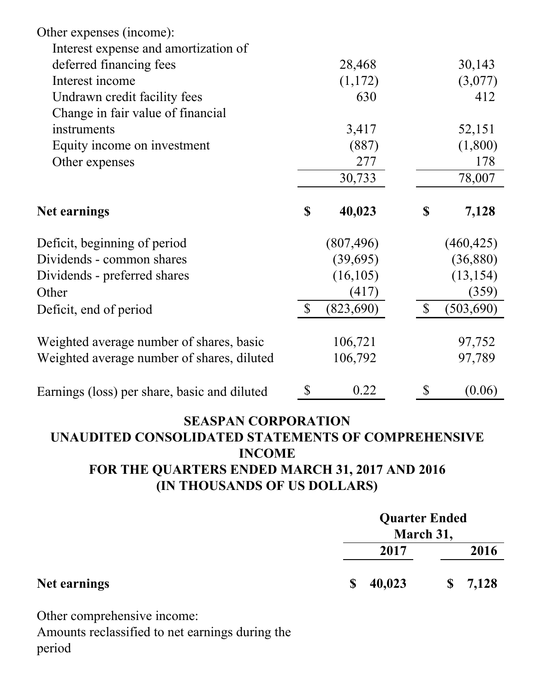| Other expenses (income):                     |               |            |              |            |
|----------------------------------------------|---------------|------------|--------------|------------|
| Interest expense and amortization of         |               |            |              |            |
| deferred financing fees                      |               | 28,468     |              | 30,143     |
| Interest income                              |               | (1,172)    |              | (3,077)    |
| Undrawn credit facility fees                 |               | 630        |              | 412        |
| Change in fair value of financial            |               |            |              |            |
| instruments                                  |               | 3,417      |              | 52,151     |
| Equity income on investment                  |               | (887)      |              | (1,800)    |
| Other expenses                               |               | 277        |              | 178        |
|                                              |               | 30,733     |              | 78,007     |
| <b>Net earnings</b>                          | \$            | 40,023     | $\mathbb{S}$ | 7,128      |
| Deficit, beginning of period                 |               | (807, 496) |              | (460, 425) |
| Dividends - common shares                    |               | (39,695)   |              | (36, 880)  |
| Dividends - preferred shares                 |               | (16, 105)  |              | (13, 154)  |
| Other                                        |               | (417)      |              | (359)      |
| Deficit, end of period                       | $\mathcal{S}$ | (823, 690) | $\mathbb{S}$ | (503, 690) |
| Weighted average number of shares, basic     |               | 106,721    |              | 97,752     |
| Weighted average number of shares, diluted   |               | 106,792    |              | 97,789     |
| Earnings (loss) per share, basic and diluted | \$            | 0.22       | \$           | (0.06)     |

#### **SEASPAN CORPORATION UNAUDITED CONSOLIDATED STATEMENTS OF COMPREHENSIVE INCOME FOR THE QUARTERS ENDED MARCH 31, 2017 AND 2016 (IN THOUSANDS OF US DOLLARS)**

|              | <b>Quarter Ended</b>   |           |  |
|--------------|------------------------|-----------|--|
|              |                        | March 31, |  |
|              | 2017                   | 2016      |  |
| Net earnings | 40,023<br><sup>S</sup> | \$7,128   |  |

Other comprehensive income:

Amounts reclassified to net earnings during the period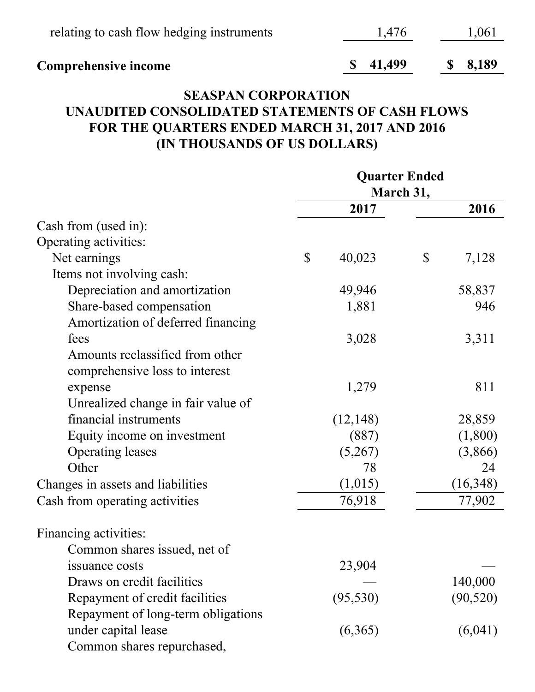| <b>Comprehensive income</b>               | $\frac{\$}{1.499}$ | $\frac{\$}{\$}$ 8.189 |
|-------------------------------------------|--------------------|-----------------------|
| relating to cash flow hedging instruments | 1.476              | 1,061                 |

#### **SEASPAN CORPORATION UNAUDITED CONSOLIDATED STATEMENTS OF CASH FLOWS FOR THE QUARTERS ENDED MARCH 31, 2017 AND 2016 (IN THOUSANDS OF US DOLLARS)**

|                                    | <b>Quarter Ended</b> |           |                           |           |
|------------------------------------|----------------------|-----------|---------------------------|-----------|
|                                    |                      |           | March 31,                 |           |
|                                    |                      | 2017      |                           | 2016      |
| Cash from (used in):               |                      |           |                           |           |
| Operating activities:              |                      |           |                           |           |
| Net earnings                       | $\mathcal{S}$        | 40,023    | $\boldsymbol{\mathsf{S}}$ | 7,128     |
| Items not involving cash:          |                      |           |                           |           |
| Depreciation and amortization      |                      | 49,946    |                           | 58,837    |
| Share-based compensation           |                      | 1,881     |                           | 946       |
| Amortization of deferred financing |                      |           |                           |           |
| fees                               |                      | 3,028     |                           | 3,311     |
| Amounts reclassified from other    |                      |           |                           |           |
| comprehensive loss to interest     |                      |           |                           |           |
| expense                            |                      | 1,279     |                           | 811       |
| Unrealized change in fair value of |                      |           |                           |           |
| financial instruments              |                      | (12, 148) |                           | 28,859    |
| Equity income on investment        |                      | (887)     |                           | (1,800)   |
| <b>Operating leases</b>            |                      | (5,267)   |                           | (3,866)   |
| Other                              |                      | 78        |                           | 24        |
| Changes in assets and liabilities  |                      | (1,015)   |                           | (16,348)  |
| Cash from operating activities     |                      | 76,918    |                           | 77,902    |
| Financing activities:              |                      |           |                           |           |
| Common shares issued, net of       |                      |           |                           |           |
| issuance costs                     |                      | 23,904    |                           |           |
| Draws on credit facilities         |                      |           |                           | 140,000   |
| Repayment of credit facilities     |                      | (95, 530) |                           | (90, 520) |
| Repayment of long-term obligations |                      |           |                           |           |
| under capital lease                |                      | (6,365)   |                           | (6,041)   |
| Common shares repurchased,         |                      |           |                           |           |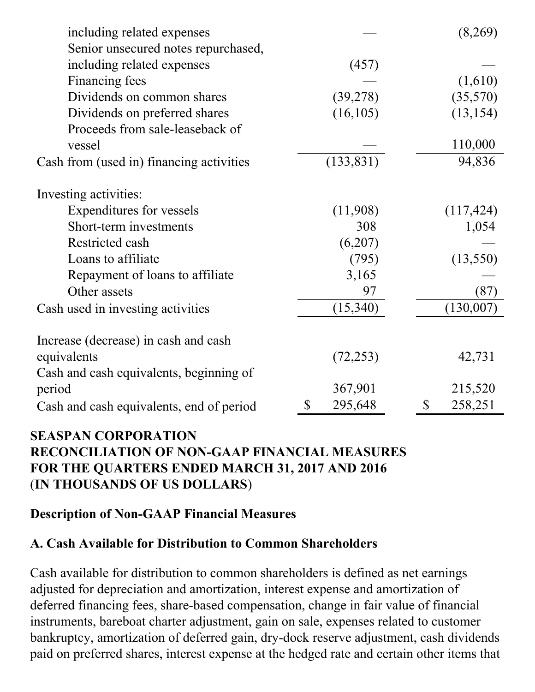| including related expenses               |               | (8,269)                              |
|------------------------------------------|---------------|--------------------------------------|
| Senior unsecured notes repurchased,      |               |                                      |
| including related expenses               | (457)         |                                      |
| Financing fees                           |               | (1,610)                              |
| Dividends on common shares               | (39,278)      | (35,570)                             |
| Dividends on preferred shares            | (16, 105)     | (13, 154)                            |
| Proceeds from sale-leaseback of          |               |                                      |
| vessel                                   |               | 110,000                              |
| Cash from (used in) financing activities | (133, 831)    | 94,836                               |
| Investing activities:                    |               |                                      |
| Expenditures for vessels                 | (11,908)      | (117, 424)                           |
| Short-term investments                   | 308           | 1,054                                |
| Restricted cash                          | (6,207)       |                                      |
| Loans to affiliate                       | (795)         | (13,550)                             |
| Repayment of loans to affiliate          | 3,165         |                                      |
| Other assets                             | 97            | (87)                                 |
| Cash used in investing activities        | (15, 340)     | (130,007)                            |
| Increase (decrease) in cash and cash     |               |                                      |
| equivalents                              | (72, 253)     | 42,731                               |
| Cash and cash equivalents, beginning of  |               |                                      |
| period                                   | 367,901       | 215,520                              |
| Cash and cash equivalents, end of period | \$<br>295,648 | $\boldsymbol{\mathsf{S}}$<br>258,251 |

#### **SEASPAN CORPORATION RECONCILIATION OF NON-GAAP FINANCIAL MEASURES FOR THE QUARTERS ENDED MARCH 31, 2017 AND 2016** (**IN THOUSANDS OF US DOLLARS**)

#### **Description of Non-GAAP Financial Measures**

#### **A. Cash Available for Distribution to Common Shareholders**

Cash available for distribution to common shareholders is defined as net earnings adjusted for depreciation and amortization, interest expense and amortization of deferred financing fees, share-based compensation, change in fair value of financial instruments, bareboat charter adjustment, gain on sale, expenses related to customer bankruptcy, amortization of deferred gain, dry-dock reserve adjustment, cash dividends paid on preferred shares, interest expense at the hedged rate and certain other items that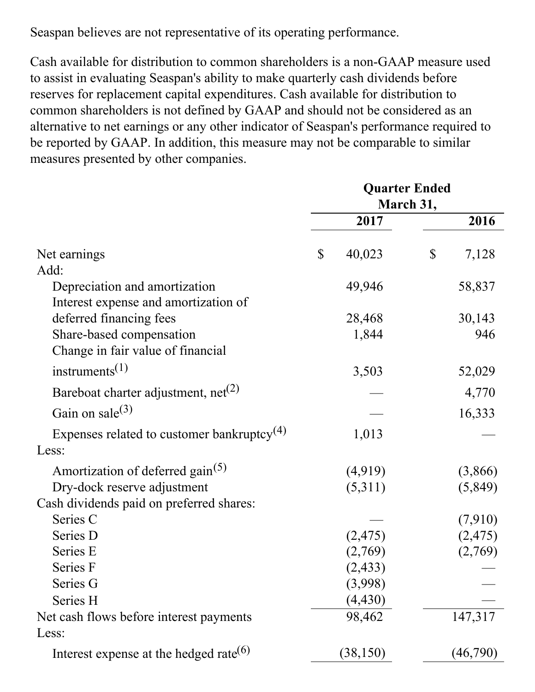Seaspan believes are not representative of its operating performance.

Cash available for distribution to common shareholders is a non-GAAP measure used to assist in evaluating Seaspan's ability to make quarterly cash dividends before reserves for replacement capital expenditures. Cash available for distribution to common shareholders is not defined by GAAP and should not be considered as an alternative to net earnings or any other indicator of Seaspan's performance required to be reported by GAAP. In addition, this measure may not be comparable to similar measures presented by other companies.

|                                                        | <b>Quarter Ended</b><br>March 31, |           |    |          |
|--------------------------------------------------------|-----------------------------------|-----------|----|----------|
|                                                        |                                   | 2017      |    | 2016     |
| Net earnings                                           | \$                                | 40,023    | \$ | 7,128    |
| Add:                                                   |                                   |           |    |          |
| Depreciation and amortization                          |                                   | 49,946    |    | 58,837   |
| Interest expense and amortization of                   |                                   |           |    |          |
| deferred financing fees                                |                                   | 28,468    |    | 30,143   |
| Share-based compensation                               |                                   | 1,844     |    | 946      |
| Change in fair value of financial                      |                                   |           |    |          |
| instruments <sup><math>(1)</math></sup>                |                                   | 3,503     |    | 52,029   |
| Bareboat charter adjustment, $net(2)$                  |                                   |           |    | 4,770    |
| Gain on sale $^{(3)}$                                  |                                   |           |    | 16,333   |
| Expenses related to customer bankruptcy <sup>(4)</sup> |                                   | 1,013     |    |          |
| Less:                                                  |                                   |           |    |          |
| Amortization of deferred gain <sup>(5)</sup>           |                                   | (4,919)   |    | (3,866)  |
| Dry-dock reserve adjustment                            |                                   | (5,311)   |    | (5,849)  |
| Cash dividends paid on preferred shares:               |                                   |           |    |          |
| Series C                                               |                                   |           |    | (7,910)  |
| Series D                                               |                                   | (2, 475)  |    | (2, 475) |
| Series E                                               |                                   | (2,769)   |    | (2,769)  |
| Series F                                               |                                   | (2, 433)  |    |          |
| Series G                                               |                                   | (3,998)   |    |          |
| Series H                                               |                                   | (4, 430)  |    |          |
| Net cash flows before interest payments                |                                   | 98,462    |    | 147,317  |
| Less:                                                  |                                   |           |    |          |
| Interest expense at the hedged rate <sup>(6)</sup>     |                                   | (38, 150) |    | (46,790) |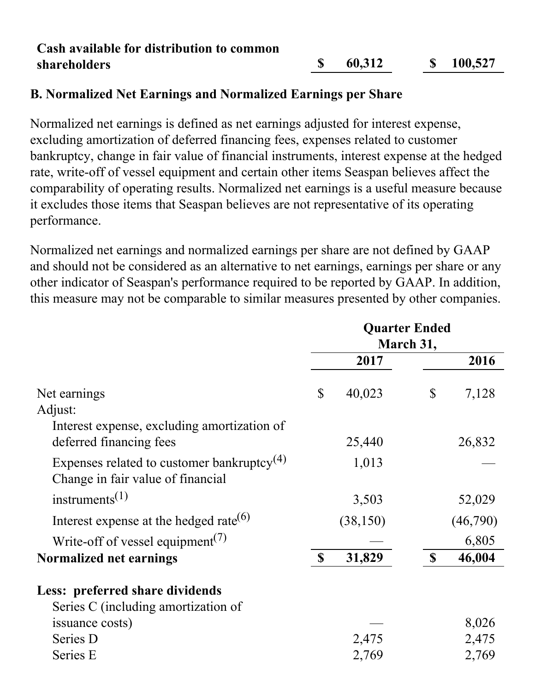#### **Cash available for distribution to common shareholders \$ 60,312 \$ 100,527**

#### **B. Normalized Net Earnings and Normalized Earnings per Share**

Normalized net earnings is defined as net earnings adjusted for interest expense, excluding amortization of deferred financing fees, expenses related to customer bankruptcy, change in fair value of financial instruments, interest expense at the hedged rate, write-off of vessel equipment and certain other items Seaspan believes affect the comparability of operating results. Normalized net earnings is a useful measure because it excludes those items that Seaspan believes are not representative of its operating performance.

Normalized net earnings and normalized earnings per share are not defined by GAAP and should not be considered as an alternative to net earnings, earnings per share or any other indicator of Seaspan's performance required to be reported by GAAP. In addition, this measure may not be comparable to similar measures presented by other companies.

|                                                                                             | <b>Quarter Ended</b><br>March 31, |           |                           |          |
|---------------------------------------------------------------------------------------------|-----------------------------------|-----------|---------------------------|----------|
|                                                                                             |                                   | 2017      |                           | 2016     |
| Net earnings<br>Adjust:                                                                     | $\mathbb{S}$                      | 40,023    | $\mathbb{S}$              | 7,128    |
| Interest expense, excluding amortization of<br>deferred financing fees                      |                                   | 25,440    |                           | 26,832   |
| Expenses related to customer bankruptcy <sup>(4)</sup><br>Change in fair value of financial |                                   | 1,013     |                           |          |
| instruments <sup><math>(1)</math></sup>                                                     |                                   | 3,503     |                           | 52,029   |
| Interest expense at the hedged rate $(6)$                                                   |                                   | (38, 150) |                           | (46,790) |
| Write-off of vessel equipment <sup>(7)</sup>                                                |                                   |           |                           | 6,805    |
| Normalized net earnings                                                                     | $\mathbf S$                       | 31,829    | $\boldsymbol{\mathsf{S}}$ | 46,004   |
| Less: preferred share dividends                                                             |                                   |           |                           |          |
| Series C (including amortization of                                                         |                                   |           |                           |          |
| issuance costs)                                                                             |                                   |           |                           | 8,026    |
| Series D                                                                                    |                                   | 2,475     |                           | 2,475    |
| Series E                                                                                    |                                   | 2,769     |                           | 2,769    |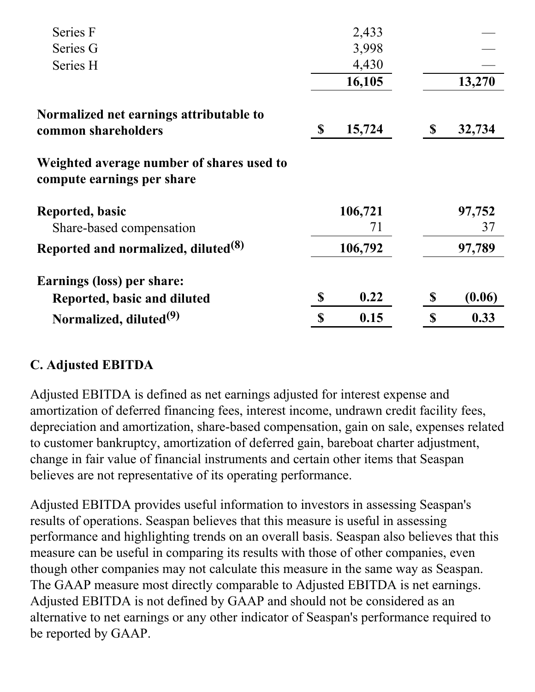| 2,433      |        |        |
|------------|--------|--------|
| 3,998      |        |        |
| 4,430      |        |        |
| 16,105     |        | 13,270 |
|            |        |        |
|            |        | 32,734 |
|            |        |        |
| 106,721    |        | 97,752 |
| 71         |        | 37     |
| 106,792    |        | 97,789 |
|            |        |        |
| \$<br>0.22 | \$     | (0.06) |
| \$<br>0.15 | \$     | 0.33   |
| \$         | 15,724 | \$     |

## **C. Adjusted EBITDA**

Adjusted EBITDA is defined as net earnings adjusted for interest expense and amortization of deferred financing fees, interest income, undrawn credit facility fees, depreciation and amortization, share-based compensation, gain on sale, expenses related to customer bankruptcy, amortization of deferred gain, bareboat charter adjustment, change in fair value of financial instruments and certain other items that Seaspan believes are not representative of its operating performance.

Adjusted EBITDA provides useful information to investors in assessing Seaspan's results of operations. Seaspan believes that this measure is useful in assessing performance and highlighting trends on an overall basis. Seaspan also believes that this measure can be useful in comparing its results with those of other companies, even though other companies may not calculate this measure in the same way as Seaspan. The GAAP measure most directly comparable to Adjusted EBITDA is net earnings. Adjusted EBITDA is not defined by GAAP and should not be considered as an alternative to net earnings or any other indicator of Seaspan's performance required to be reported by GAAP.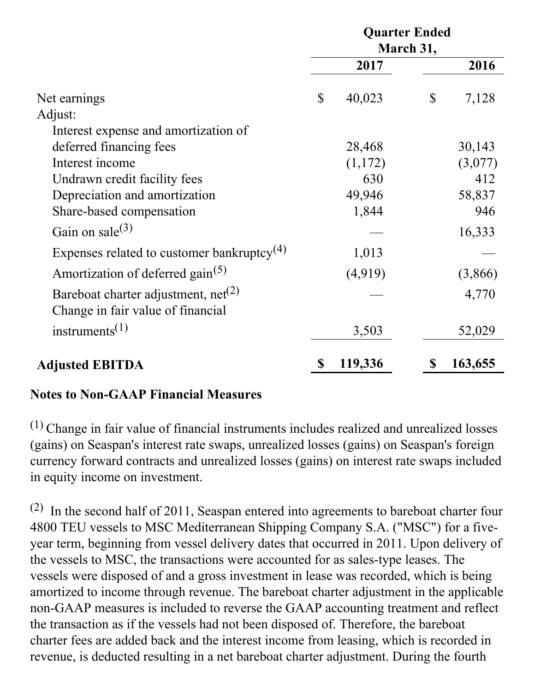|                                                        | <b>Quarter Ended</b><br>March 31, |         |    |         |
|--------------------------------------------------------|-----------------------------------|---------|----|---------|
|                                                        |                                   |         |    |         |
|                                                        |                                   | 2017    |    | 2016    |
| Net earnings                                           | $\mathbb{S}$                      | 40,023  | \$ | 7,128   |
| Adjust:                                                |                                   |         |    |         |
| Interest expense and amortization of                   |                                   |         |    |         |
| deferred financing fees                                |                                   | 28,468  |    | 30,143  |
| Interest income                                        |                                   | (1,172) |    | (3,077) |
| Undrawn credit facility fees                           |                                   | 630     |    | 412     |
| Depreciation and amortization                          |                                   | 49,946  |    | 58,837  |
| Share-based compensation                               |                                   | 1,844   |    | 946     |
| Gain on sale $^{(3)}$                                  |                                   |         |    | 16,333  |
| Expenses related to customer bankruptcy <sup>(4)</sup> |                                   | 1,013   |    |         |
| Amortization of deferred gain <sup>(5)</sup>           |                                   | (4,919) |    | (3,866) |
| Bareboat charter adjustment, $net(2)$                  |                                   |         |    | 4,770   |
| Change in fair value of financial                      |                                   |         |    |         |
| instruments <sup><math>(1)</math></sup>                |                                   | 3,503   |    | 52,029  |
| <b>Adjusted EBITDA</b>                                 | \$                                | 119,336 | \$ | 163,655 |

#### **Notes to Non-GAAP Financial Measures**

 $(1)$  Change in fair value of financial instruments includes realized and unrealized losses (gains) on Seaspan's interest rate swaps, unrealized losses (gains) on Seaspan's foreign currency forward contracts and unrealized losses (gains) on interest rate swaps included in equity income on investment.

 $(2)$  In the second half of 2011, Seaspan entered into agreements to bareboat charter four 4800 TEU vessels to MSC Mediterranean Shipping Company S.A. ("MSC") for a fiveyear term, beginning from vessel delivery dates that occurred in 2011. Upon delivery of the vessels to MSC, the transactions were accounted for as sales-type leases. The vessels were disposed of and a gross investment in lease was recorded, which is being amortized to income through revenue. The bareboat charter adjustment in the applicable non-GAAP measures is included to reverse the GAAP accounting treatment and reflect the transaction as if the vessels had not been disposed of. Therefore, the bareboat charter fees are added back and the interest income from leasing, which is recorded in revenue, is deducted resulting in a net bareboat charter adjustment. During the fourth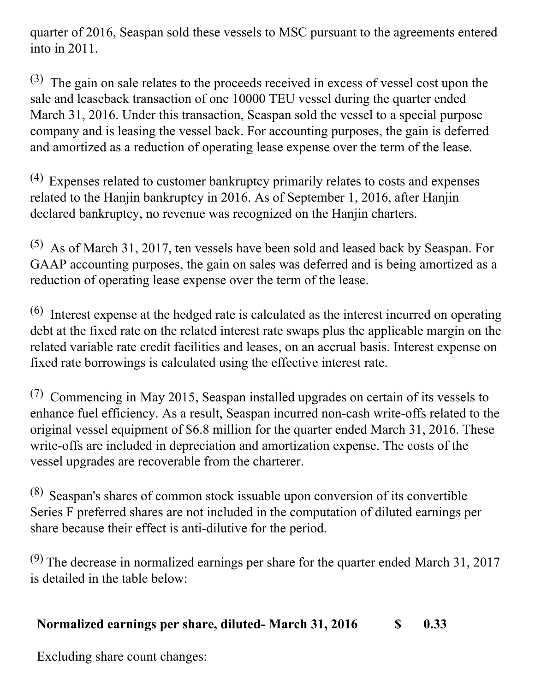quarter of 2016, Seaspan sold these vessels to MSC pursuant to the agreements entered into in 2011.

(3) The gain on sale relates to the proceeds received in excess of vessel cost upon the sale and leaseback transaction of one 10000 TEU vessel during the quarter ended March 31, 2016. Under this transaction, Seaspan sold the vessel to a special purpose company and is leasing the vessel back. For accounting purposes, the gain is deferred and amortized as a reduction of operating lease expense over the term of the lease.

(4) Expenses related to customer bankruptcy primarily relates to costs and expenses related to the Hanjin bankruptcy in 2016. As of September 1, 2016, after Hanjin declared bankruptcy, no revenue was recognized on the Hanjin charters.

(5) As of March 31, 2017, ten vessels have been sold and leased back by Seaspan. For GAAP accounting purposes, the gain on sales was deferred and is being amortized as a reduction of operating lease expense over the term of the lease.

 $(6)$  Interest expense at the hedged rate is calculated as the interest incurred on operating debt at the fixed rate on the related interest rate swaps plus the applicable margin on the related variable rate credit facilities and leases, on an accrual basis. Interest expense on fixed rate borrowings is calculated using the effective interest rate.

 $(7)$  Commencing in May 2015, Seaspan installed upgrades on certain of its vessels to enhance fuel efficiency. As a result, Seaspan incurred non-cash write-offs related to the original vessel equipment of \$6.8 million for the quarter ended March 31, 2016. These write-offs are included in depreciation and amortization expense. The costs of the vessel upgrades are recoverable from the charterer.

(8) Seaspan's shares of common stock issuable upon conversion of its convertible Series F preferred shares are not included in the computation of diluted earnings per share because their effect is anti-dilutive for the period.

(9) The decrease in normalized earnings per share for the quarter ended March 31, 2017 is detailed in the table below:

## **Normalized earnings per share, diluted- March 31, 2016 \$ 0.33**

Excluding share count changes: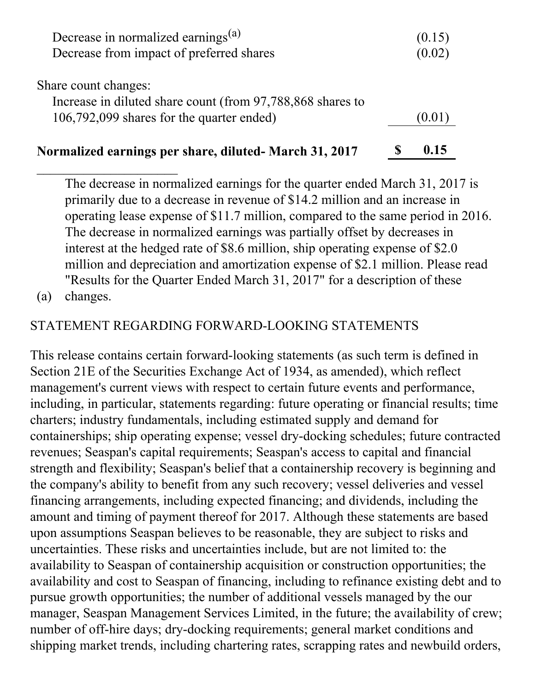| Decrease in normalized earnings <sup>(a)</sup>             | (0.15) |
|------------------------------------------------------------|--------|
| Decrease from impact of preferred shares                   | (0.02) |
| Share count changes:                                       |        |
| Increase in diluted share count (from 97,788,868 shares to |        |
| 106,792,099 shares for the quarter ended)                  | [0.0]  |
|                                                            |        |

#### **Normalized earnings per share, diluted- March 31, 2017 \$ 0.15**

The decrease in normalized earnings for the quarter ended March 31, 2017 is primarily due to a decrease in revenue of \$14.2 million and an increase in operating lease expense of \$11.7 million, compared to the same period in 2016. The decrease in normalized earnings was partially offset by decreases in interest at the hedged rate of \$8.6 million, ship operating expense of \$2.0 million and depreciation and amortization expense of \$2.1 million. Please read "Results for the Quarter Ended March 31, 2017" for a description of these

(a) changes.

 $\overline{\phantom{a}}$  , where  $\overline{\phantom{a}}$ 

#### STATEMENT REGARDING FORWARD-LOOKING STATEMENTS

This release contains certain forward-looking statements (as such term is defined in Section 21E of the Securities Exchange Act of 1934, as amended), which reflect management's current views with respect to certain future events and performance, including, in particular, statements regarding: future operating or financial results; time charters; industry fundamentals, including estimated supply and demand for containerships; ship operating expense; vessel dry-docking schedules; future contracted revenues; Seaspan's capital requirements; Seaspan's access to capital and financial strength and flexibility; Seaspan's belief that a containership recovery is beginning and the company's ability to benefit from any such recovery; vessel deliveries and vessel financing arrangements, including expected financing; and dividends, including the amount and timing of payment thereof for 2017. Although these statements are based upon assumptions Seaspan believes to be reasonable, they are subject to risks and uncertainties. These risks and uncertainties include, but are not limited to: the availability to Seaspan of containership acquisition or construction opportunities; the availability and cost to Seaspan of financing, including to refinance existing debt and to pursue growth opportunities; the number of additional vessels managed by the our manager, Seaspan Management Services Limited, in the future; the availability of crew; number of off-hire days; dry-docking requirements; general market conditions and shipping market trends, including chartering rates, scrapping rates and newbuild orders,